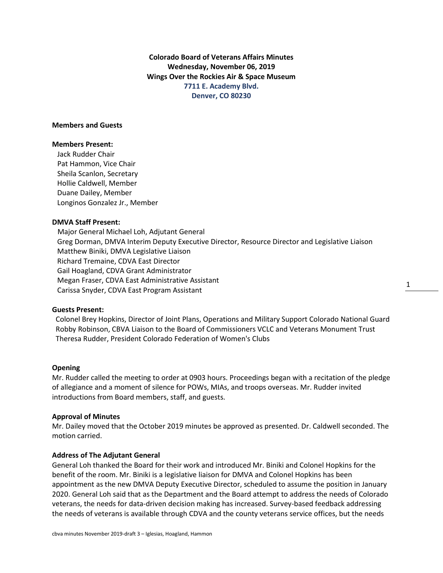**Colorado Board of Veterans Affairs Minutes Wednesday, November 06, 2019 Wings Over the Rockies Air & Space Museum 7711 E. Academy Blvd. Denver, CO 80230**

# **Members and Guests**

### **Members Present:**

Jack Rudder Chair Pat Hammon, Vice Chair Sheila Scanlon, Secretary Hollie Caldwell, Member Duane Dailey, Member Longinos Gonzalez Jr., Member

# **DMVA Staff Present:**

Major General Michael Loh, Adjutant General Greg Dorman, DMVA Interim Deputy Executive Director, Resource Director and Legislative Liaison Matthew Biniki, DMVA Legislative Liaison Richard Tremaine, CDVA East Director Gail Hoagland, CDVA Grant Administrator Megan Fraser, CDVA East Administrative Assistant Carissa Snyder, CDVA East Program Assistant

# **Guests Present:**

 Colonel Brey Hopkins, Director of Joint Plans, Operations and Military Support Colorado National Guard Robby Robinson, CBVA Liaison to the Board of Commissioners VCLC and Veterans Monument Trust Theresa Rudder, President Colorado Federation of Women's Clubs

#### **Opening**

Mr. Rudder called the meeting to order at 0903 hours. Proceedings began with a recitation of the pledge of allegiance and a moment of silence for POWs, MIAs, and troops overseas. Mr. Rudder invited introductions from Board members, staff, and guests.

#### **Approval of Minutes**

Mr. Dailey moved that the October 2019 minutes be approved as presented. Dr. Caldwell seconded. The motion carried.

### **Address of The Adjutant General**

General Loh thanked the Board for their work and introduced Mr. Biniki and Colonel Hopkins for the benefit of the room. Mr. Biniki is a legislative liaison for DMVA and Colonel Hopkins has been appointment as the new DMVA Deputy Executive Director, scheduled to assume the position in January 2020. General Loh said that as the Department and the Board attempt to address the needs of Colorado veterans, the needs for data-driven decision making has increased. Survey-based feedback addressing the needs of veterans is available through CDVA and the county veterans service offices, but the needs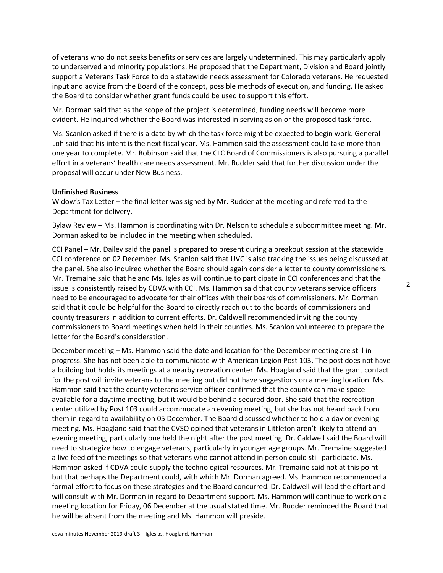of veterans who do not seeks benefits or services are largely undetermined. This may particularly apply to underserved and minority populations. He proposed that the Department, Division and Board jointly support a Veterans Task Force to do a statewide needs assessment for Colorado veterans. He requested input and advice from the Board of the concept, possible methods of execution, and funding, He asked the Board to consider whether grant funds could be used to support this effort.

Mr. Dorman said that as the scope of the project is determined, funding needs will become more evident. He inquired whether the Board was interested in serving as on or the proposed task force.

Ms. Scanlon asked if there is a date by which the task force might be expected to begin work. General Loh said that his intent is the next fiscal year. Ms. Hammon said the assessment could take more than one year to complete. Mr. Robinson said that the CLC Board of Commissioners is also pursuing a parallel effort in a veterans' health care needs assessment. Mr. Rudder said that further discussion under the proposal will occur under New Business.

### **Unfinished Business**

Widow's Tax Letter – the final letter was signed by Mr. Rudder at the meeting and referred to the Department for delivery.

Bylaw Review – Ms. Hammon is coordinating with Dr. Nelson to schedule a subcommittee meeting. Mr. Dorman asked to be included in the meeting when scheduled.

CCI Panel – Mr. Dailey said the panel is prepared to present during a breakout session at the statewide CCI conference on 02 December. Ms. Scanlon said that UVC is also tracking the issues being discussed at the panel. She also inquired whether the Board should again consider a letter to county commissioners. Mr. Tremaine said that he and Ms. Iglesias will continue to participate in CCI conferences and that the issue is consistently raised by CDVA with CCI. Ms. Hammon said that county veterans service officers need to be encouraged to advocate for their offices with their boards of commissioners. Mr. Dorman said that it could be helpful for the Board to directly reach out to the boards of commissioners and county treasurers in addition to current efforts. Dr. Caldwell recommended inviting the county commissioners to Board meetings when held in their counties. Ms. Scanlon volunteered to prepare the letter for the Board's consideration.

December meeting – Ms. Hammon said the date and location for the December meeting are still in progress. She has not been able to communicate with American Legion Post 103. The post does not have a building but holds its meetings at a nearby recreation center. Ms. Hoagland said that the grant contact for the post will invite veterans to the meeting but did not have suggestions on a meeting location. Ms. Hammon said that the county veterans service officer confirmed that the county can make space available for a daytime meeting, but it would be behind a secured door. She said that the recreation center utilized by Post 103 could accommodate an evening meeting, but she has not heard back from them in regard to availability on 05 December. The Board discussed whether to hold a day or evening meeting. Ms. Hoagland said that the CVSO opined that veterans in Littleton aren't likely to attend an evening meeting, particularly one held the night after the post meeting. Dr. Caldwell said the Board will need to strategize how to engage veterans, particularly in younger age groups. Mr. Tremaine suggested a live feed of the meetings so that veterans who cannot attend in person could still participate. Ms. Hammon asked if CDVA could supply the technological resources. Mr. Tremaine said not at this point but that perhaps the Department could, with which Mr. Dorman agreed. Ms. Hammon recommended a formal effort to focus on these strategies and the Board concurred. Dr. Caldwell will lead the effort and will consult with Mr. Dorman in regard to Department support. Ms. Hammon will continue to work on a meeting location for Friday, 06 December at the usual stated time. Mr. Rudder reminded the Board that he will be absent from the meeting and Ms. Hammon will preside.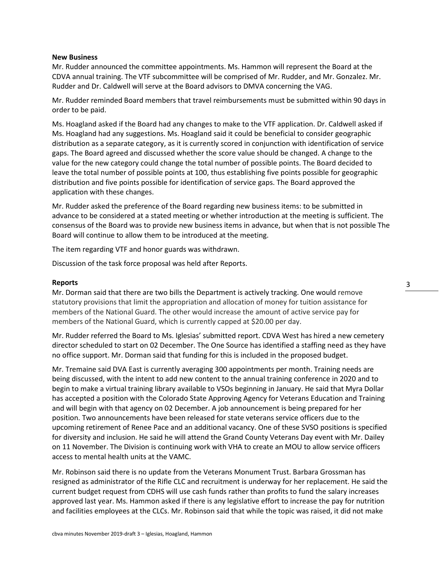# **New Business**

Mr. Rudder announced the committee appointments. Ms. Hammon will represent the Board at the CDVA annual training. The VTF subcommittee will be comprised of Mr. Rudder, and Mr. Gonzalez. Mr. Rudder and Dr. Caldwell will serve at the Board advisors to DMVA concerning the VAG.

Mr. Rudder reminded Board members that travel reimbursements must be submitted within 90 days in order to be paid.

Ms. Hoagland asked if the Board had any changes to make to the VTF application. Dr. Caldwell asked if Ms. Hoagland had any suggestions. Ms. Hoagland said it could be beneficial to consider geographic distribution as a separate category, as it is currently scored in conjunction with identification of service gaps. The Board agreed and discussed whether the score value should be changed. A change to the value for the new category could change the total number of possible points. The Board decided to leave the total number of possible points at 100, thus establishing five points possible for geographic distribution and five points possible for identification of service gaps. The Board approved the application with these changes.

Mr. Rudder asked the preference of the Board regarding new business items: to be submitted in advance to be considered at a stated meeting or whether introduction at the meeting is sufficient. The consensus of the Board was to provide new business items in advance, but when that is not possible The Board will continue to allow them to be introduced at the meeting.

The item regarding VTF and honor guards was withdrawn.

Discussion of the task force proposal was held after Reports.

### **Reports**

Mr. Dorman said that there are two bills the Department is actively tracking. One would remove statutory provisions that limit the appropriation and allocation of money for tuition assistance for members of the National Guard. The other would increase the amount of active service pay for members of the National Guard, which is currently capped at \$20.00 per day.

Mr. Rudder referred the Board to Ms. Iglesias' submitted report. CDVA West has hired a new cemetery director scheduled to start on 02 December. The One Source has identified a staffing need as they have no office support. Mr. Dorman said that funding for this is included in the proposed budget.

Mr. Tremaine said DVA East is currently averaging 300 appointments per month. Training needs are being discussed, with the intent to add new content to the annual training conference in 2020 and to begin to make a virtual training library available to VSOs beginning in January. He said that Myra Dollar has accepted a position with the Colorado State Approving Agency for Veterans Education and Training and will begin with that agency on 02 December. A job announcement is being prepared for her position. Two announcements have been released for state veterans service officers due to the upcoming retirement of Renee Pace and an additional vacancy. One of these SVSO positions is specified for diversity and inclusion. He said he will attend the Grand County Veterans Day event with Mr. Dailey on 11 November. The Division is continuing work with VHA to create an MOU to allow service officers access to mental health units at the VAMC.

Mr. Robinson said there is no update from the Veterans Monument Trust. Barbara Grossman has resigned as administrator of the Rifle CLC and recruitment is underway for her replacement. He said the current budget request from CDHS will use cash funds rather than profits to fund the salary increases approved last year. Ms. Hammon asked if there is any legislative effort to increase the pay for nutrition and facilities employees at the CLCs. Mr. Robinson said that while the topic was raised, it did not make